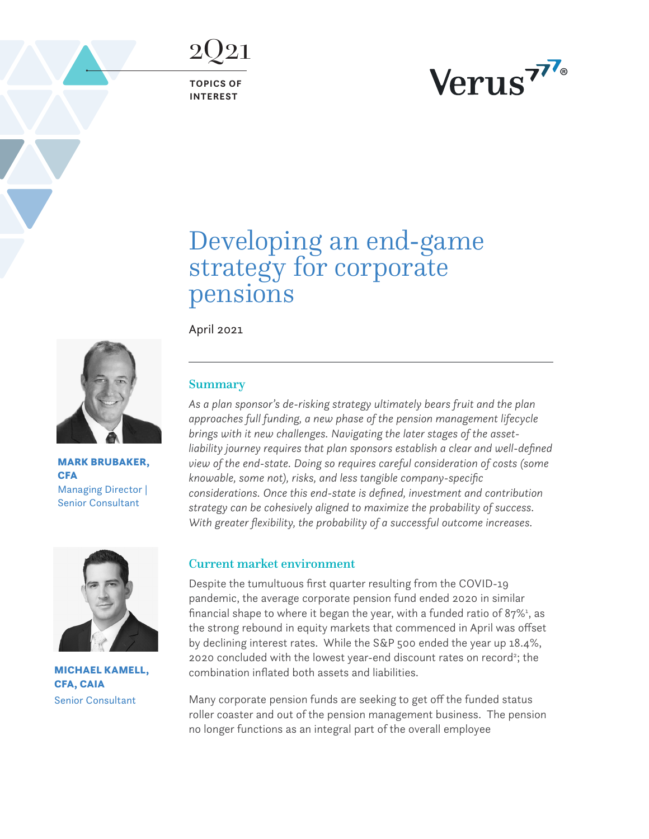<span id="page-0-0"></span>2Q21

**TOPICS OF INTEREST**



# Developing an end-game strategy for corporate pensions

April 2021



MARK BRUBAKER, **CFA** Managing Director | Senior Consultant



MICHAEL KAMELL, CFA, CAIA Senior Consultant

# Summary

*As a plan sponsor's de-risking strategy ultimately bears fruit and the plan approaches full funding, a new phase of the pension management lifecycle brings with it new challenges. Navigating the later stages of the assetliability journey requires that plan sponsors establish a clear and well-defined view of the end-state. Doing so requires careful consideration of costs (some knowable, some not), risks, and less tangible company-specific considerations. Once this end-state is defined, investment and contribution strategy can be cohesively aligned to maximize the probability of success. With greater flexibility, the probability of a successful outcome increases.* 

## Current market environment

Despite the tumultuous first quarter resulting from the COVID-19 pandemic, the average corporate pension fund ended 2020 in similar financial shape to where it began the year, with a funded ratio of  $87\%$ <sup>[1](#page-9-0)</sup>, as the strong rebound in equity markets that commenced in April was offset by declining interest rates. While the S&P 500 ended the year up 18.4%, 2020 concluded with the lowest year-end discount rates on record<sup>2</sup>; the combination inflated both assets and liabilities.

Many corporate pension funds are seeking to get off the funded status roller coaster and out of the pension management business. The pension no longer functions as an integral part of the overall employee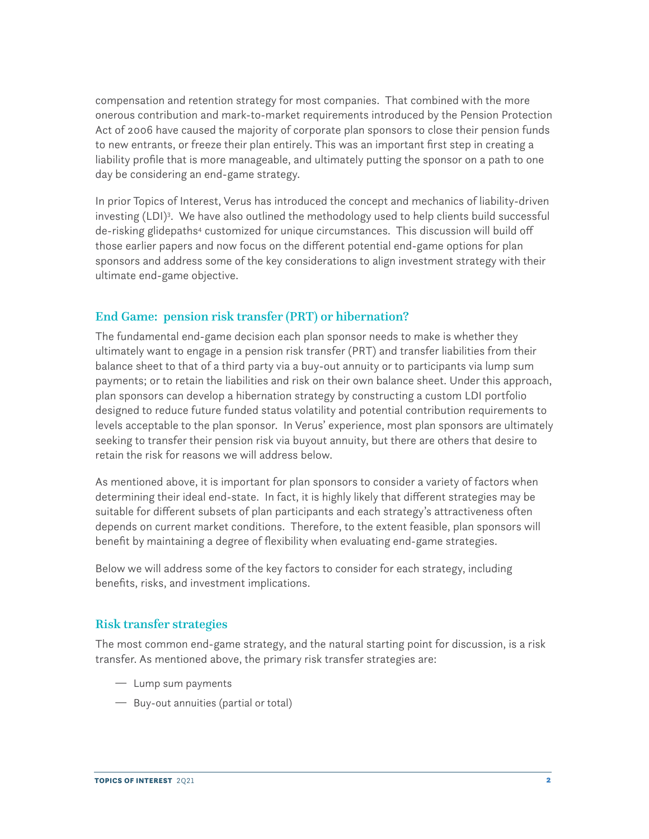<span id="page-1-0"></span>compensation and retention strategy for most companies. That combined with the more onerous contribution and mark-to-market requirements introduced by the Pension Protection Act of 2006 have caused the majority of corporate plan sponsors to close their pension funds to new entrants, or freeze their plan entirely. This was an important first step in creating a liability profile that is more manageable, and ultimately putting the sponsor on a path to one day be considering an end-game strategy.

In prior Topics of Interest, Verus has introduced the concept and mechanics of liability-driven investing (LDI)<sup>[3](#page-9-0)</sup>. We have also outlined the methodology used to help clients build successful de-risking glidepaths<sup>[4](#page-9-0)</sup> customized for unique circumstances. This discussion will build off those earlier papers and now focus on the different potential end-game options for plan sponsors and address some of the key considerations to align investment strategy with their ultimate end-game objective.

## End Game: pension risk transfer (PRT) or hibernation?

The fundamental end-game decision each plan sponsor needs to make is whether they ultimately want to engage in a pension risk transfer (PRT) and transfer liabilities from their balance sheet to that of a third party via a buy-out annuity or to participants via lump sum payments; or to retain the liabilities and risk on their own balance sheet. Under this approach, plan sponsors can develop a hibernation strategy by constructing a custom LDI portfolio designed to reduce future funded status volatility and potential contribution requirements to levels acceptable to the plan sponsor. In Verus' experience, most plan sponsors are ultimately seeking to transfer their pension risk via buyout annuity, but there are others that desire to retain the risk for reasons we will address below.

As mentioned above, it is important for plan sponsors to consider a variety of factors when determining their ideal end-state. In fact, it is highly likely that different strategies may be suitable for different subsets of plan participants and each strategy's attractiveness often depends on current market conditions. Therefore, to the extent feasible, plan sponsors will benefit by maintaining a degree of flexibility when evaluating end-game strategies.

Below we will address some of the key factors to consider for each strategy, including benefits, risks, and investment implications.

## Risk transfer strategies

The most common end-game strategy, and the natural starting point for discussion, is a risk transfer. As mentioned above, the primary risk transfer strategies are:

- $-$  Lump sum payments
- $-$  Buy-out annuities (partial or total)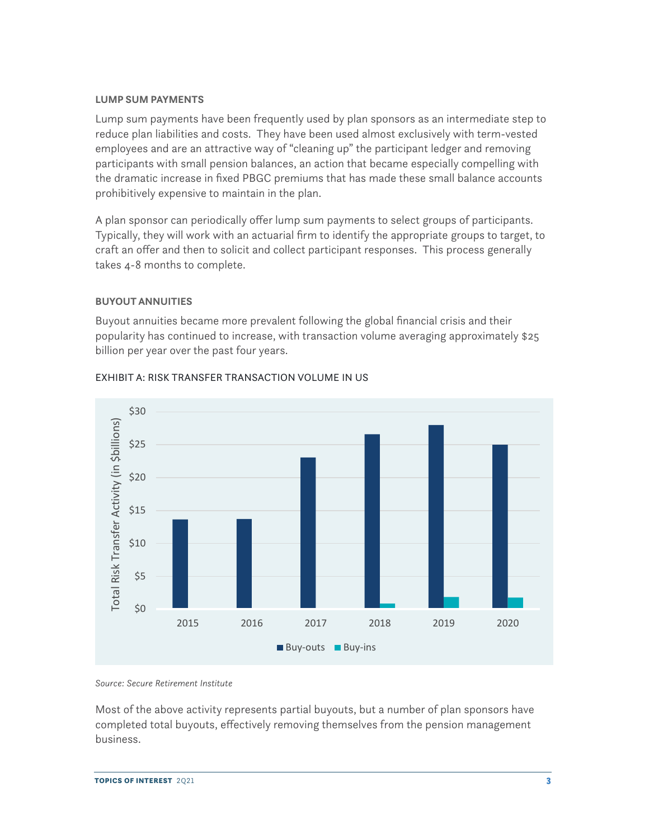#### **LUMP SUM PAYMENTS**

Lump sum payments have been frequently used by plan sponsors as an intermediate step to reduce plan liabilities and costs. They have been used almost exclusively with term-vested employees and are an attractive way of "cleaning up" the participant ledger and removing participants with small pension balances, an action that became especially compelling with the dramatic increase in fixed PBGC premiums that has made these small balance accounts prohibitively expensive to maintain in the plan.

A plan sponsor can periodically offer lump sum payments to select groups of participants. Typically, they will work with an actuarial firm to identify the appropriate groups to target, to craft an offer and then to solicit and collect participant responses. This process generally takes 4-8 months to complete.

#### **BUYOUT ANNUITIES**

Buyout annuities became more prevalent following the global financial crisis and their popularity has continued to increase, with transaction volume averaging approximately \$25 billion per year over the past four years.



#### EXHIBIT A: RISK TRANSFER TRANSACTION VOLUME IN US

*Source: Secure Retirement Institute*

Most of the above activity represents partial buyouts, but a number of plan sponsors have completed total buyouts, effectively removing themselves from the pension management business.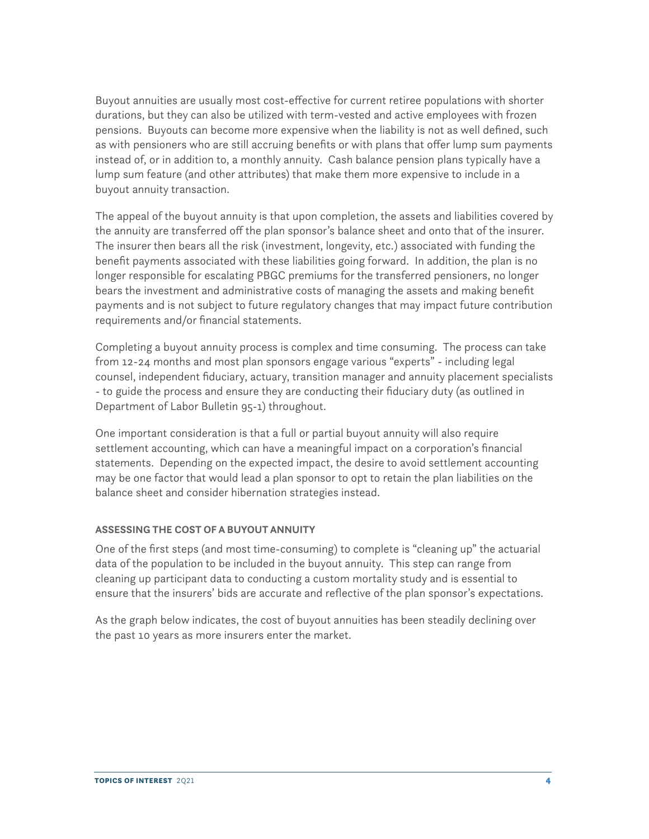Buyout annuities are usually most cost-effective for current retiree populations with shorter durations, but they can also be utilized with term-vested and active employees with frozen pensions. Buyouts can become more expensive when the liability is not as well defined, such as with pensioners who are still accruing benefits or with plans that offer lump sum payments instead of, or in addition to, a monthly annuity. Cash balance pension plans typically have a lump sum feature (and other attributes) that make them more expensive to include in a buyout annuity transaction.

The appeal of the buyout annuity is that upon completion, the assets and liabilities covered by the annuity are transferred off the plan sponsor's balance sheet and onto that of the insurer. The insurer then bears all the risk (investment, longevity, etc.) associated with funding the benefit payments associated with these liabilities going forward. In addition, the plan is no longer responsible for escalating PBGC premiums for the transferred pensioners, no longer bears the investment and administrative costs of managing the assets and making benefit payments and is not subject to future regulatory changes that may impact future contribution requirements and/or financial statements.

Completing a buyout annuity process is complex and time consuming. The process can take from 12-24 months and most plan sponsors engage various "experts" - including legal counsel, independent fiduciary, actuary, transition manager and annuity placement specialists - to guide the process and ensure they are conducting their fiduciary duty (as outlined in Department of Labor Bulletin 95-1) throughout.

One important consideration is that a full or partial buyout annuity will also require settlement accounting, which can have a meaningful impact on a corporation's financial statements. Depending on the expected impact, the desire to avoid settlement accounting may be one factor that would lead a plan sponsor to opt to retain the plan liabilities on the balance sheet and consider hibernation strategies instead.

## **ASSESSING THE COST OF A BUYOUT ANNUITY**

One of the first steps (and most time-consuming) to complete is "cleaning up" the actuarial data of the population to be included in the buyout annuity. This step can range from cleaning up participant data to conducting a custom mortality study and is essential to ensure that the insurers' bids are accurate and reflective of the plan sponsor's expectations.

As the graph below indicates, the cost of buyout annuities has been steadily declining over the past 10 years as more insurers enter the market.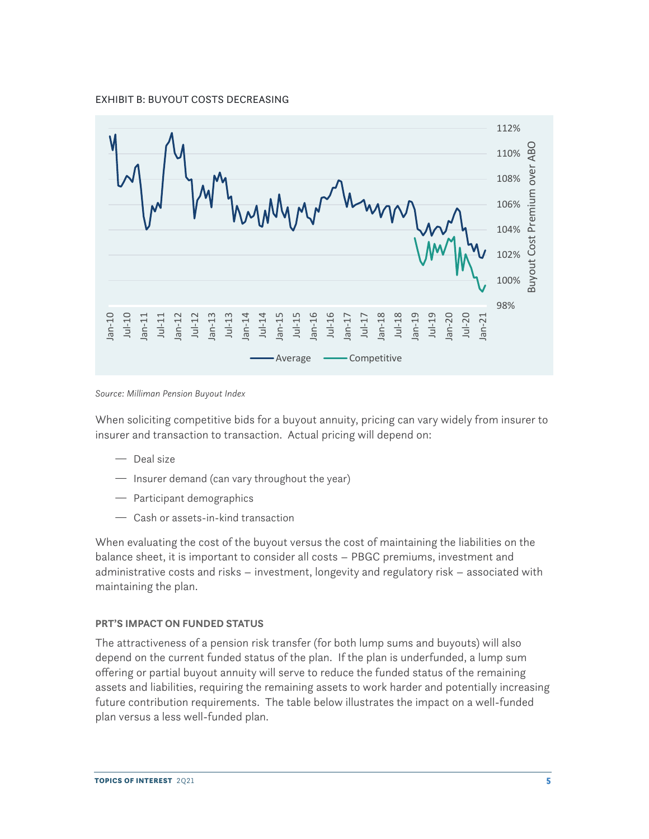EXHIBIT B: BUYOUT COSTS DECREASING



*Source: Milliman Pension Buyout Index*

When soliciting competitive bids for a buyout annuity, pricing can vary widely from insurer to insurer and transaction to transaction. Actual pricing will depend on:

- $-$  Deal size
- $-$  Insurer demand (can vary throughout the year)
- $-$  Participant demographics
- $-$  Cash or assets-in-kind transaction

When evaluating the cost of the buyout versus the cost of maintaining the liabilities on the balance sheet, it is important to consider all costs – PBGC premiums, investment and administrative costs and risks – investment, longevity and regulatory risk – associated with maintaining the plan.

#### **PRT'S IMPACT ON FUNDED STATUS**

The attractiveness of a pension risk transfer (for both lump sums and buyouts) will also depend on the current funded status of the plan. If the plan is underfunded, a lump sum offering or partial buyout annuity will serve to reduce the funded status of the remaining assets and liabilities, requiring the remaining assets to work harder and potentially increasing future contribution requirements. The table below illustrates the impact on a well-funded plan versus a less well-funded plan.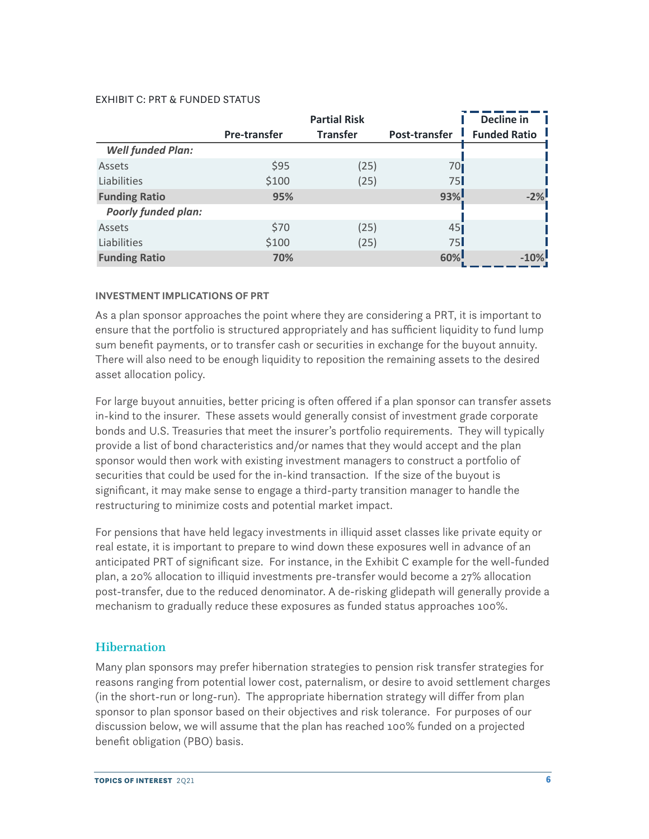#### EXHIBIT C: PRT & FUNDED STATUS

|                            |                     | <b>Partial Risk</b> |                 | Decline in          |
|----------------------------|---------------------|---------------------|-----------------|---------------------|
|                            | <b>Pre-transfer</b> | <b>Transfer</b>     | Post-transfer   | <b>Funded Ratio</b> |
| <b>Well funded Plan:</b>   |                     |                     |                 |                     |
| Assets                     | \$95                | (25)                | 70 <sub>I</sub> |                     |
| Liabilities                | \$100               | (25)                | 75              |                     |
| <b>Funding Ratio</b>       | 95%                 |                     | 93%             | $-2%$               |
| <b>Poorly funded plan:</b> |                     |                     |                 |                     |
| Assets                     | \$70                | (25)                | 45              |                     |
| Liabilities                | \$100               | (25)                | 75              |                     |
| <b>Funding Ratio</b>       | 70%                 |                     | 60%             | $-10\%$             |

#### **INVESTMENT IMPLICATIONS OF PRT**

As a plan sponsor approaches the point where they are considering a PRT, it is important to ensure that the portfolio is structured appropriately and has sufficient liquidity to fund lump sum benefit payments, or to transfer cash or securities in exchange for the buyout annuity. There will also need to be enough liquidity to reposition the remaining assets to the desired asset allocation policy.

For large buyout annuities, better pricing is often offered if a plan sponsor can transfer assets in-kind to the insurer. These assets would generally consist of investment grade corporate bonds and U.S. Treasuries that meet the insurer's portfolio requirements. They will typically provide a list of bond characteristics and/or names that they would accept and the plan sponsor would then work with existing investment managers to construct a portfolio of securities that could be used for the in-kind transaction. If the size of the buyout is significant, it may make sense to engage a third-party transition manager to handle the restructuring to minimize costs and potential market impact.

For pensions that have held legacy investments in illiquid asset classes like private equity or real estate, it is important to prepare to wind down these exposures well in advance of an anticipated PRT of significant size. For instance, in the Exhibit C example for the well-funded plan, a 20% allocation to illiquid investments pre-transfer would become a 27% allocation post-transfer, due to the reduced denominator. A de-risking glidepath will generally provide a mechanism to gradually reduce these exposures as funded status approaches 100%.

## **Hibernation**

Many plan sponsors may prefer hibernation strategies to pension risk transfer strategies for reasons ranging from potential lower cost, paternalism, or desire to avoid settlement charges (in the short-run or long-run). The appropriate hibernation strategy will differ from plan sponsor to plan sponsor based on their objectives and risk tolerance. For purposes of our discussion below, we will assume that the plan has reached 100% funded on a projected benefit obligation (PBO) basis.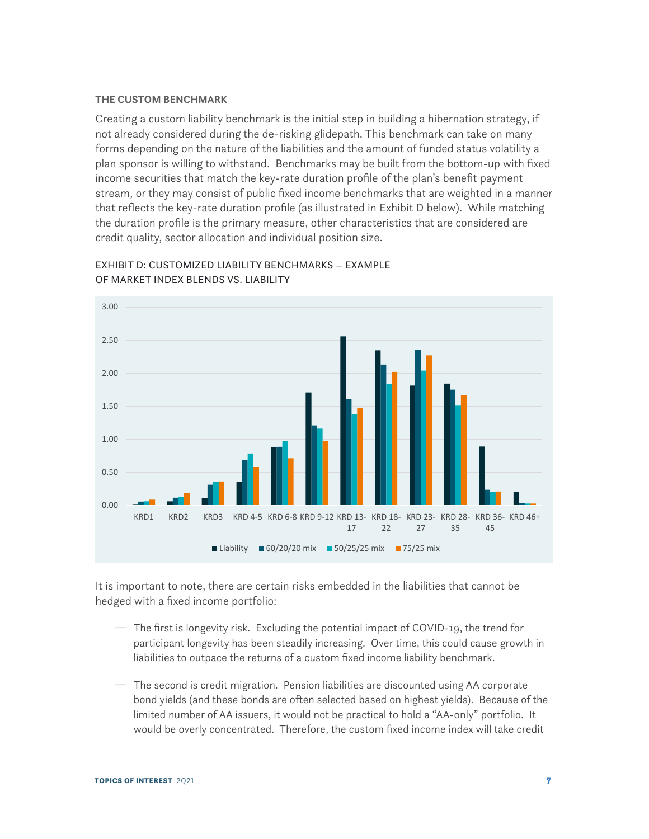#### **THE CUSTOM BENCHMARK**

Creating a custom liability benchmark is the initial step in building a hibernation strategy, if not already considered during the de-risking glidepath. This benchmark can take on many forms depending on the nature of the liabilities and the amount of funded status volatility a plan sponsor is willing to withstand. Benchmarks may be built from the bottom-up with fixed income securities that match the key-rate duration profile of the plan's benefit payment stream, or they may consist of public fixed income benchmarks that are weighted in a manner that reflects the key-rate duration profile (as illustrated in Exhibit D below). While matching the duration profile is the primary measure, other characteristics that are considered are credit quality, sector allocation and individual position size.



EXHIBIT D: CUSTOMIZED LIABILITY BENCHMARKS – EXAMPLE OF MARKET INDEX BLENDS VS. LIABILITY

It is important to note, there are certain risks embedded in the liabilities that cannot be hedged with a fixed income portfolio:

- $-$  The first is longevity risk. Excluding the potential impact of COVID-19, the trend for participant longevity has been steadily increasing. Over time, this could cause growth in liabilities to outpace the returns of a custom fixed income liability benchmark.
- $-$  The second is credit migration. Pension liabilities are discounted using AA corporate bond yields (and these bonds are often selected based on highest yields). Because of the limited number of AA issuers, it would not be practical to hold a "AA-only" portfolio. It would be overly concentrated. Therefore, the custom fixed income index will take credit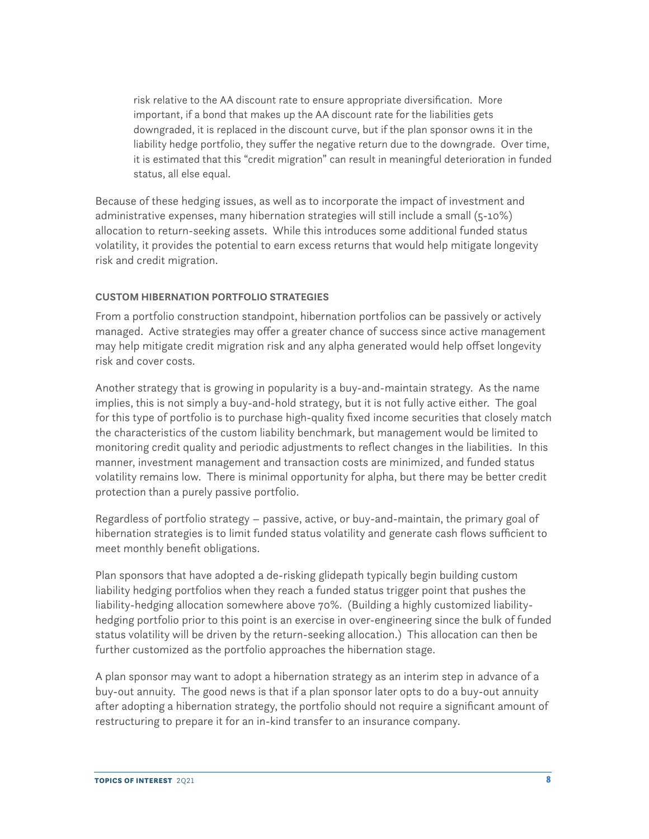risk relative to the AA discount rate to ensure appropriate diversification. More important, if a bond that makes up the AA discount rate for the liabilities gets downgraded, it is replaced in the discount curve, but if the plan sponsor owns it in the liability hedge portfolio, they suffer the negative return due to the downgrade. Over time, it is estimated that this "credit migration" can result in meaningful deterioration in funded status, all else equal.

Because of these hedging issues, as well as to incorporate the impact of investment and administrative expenses, many hibernation strategies will still include a small (5-10%) allocation to return-seeking assets. While this introduces some additional funded status volatility, it provides the potential to earn excess returns that would help mitigate longevity risk and credit migration.

## **CUSTOM HIBERNATION PORTFOLIO STRATEGIES**

From a portfolio construction standpoint, hibernation portfolios can be passively or actively managed. Active strategies may offer a greater chance of success since active management may help mitigate credit migration risk and any alpha generated would help offset longevity risk and cover costs.

Another strategy that is growing in popularity is a buy-and-maintain strategy. As the name implies, this is not simply a buy-and-hold strategy, but it is not fully active either. The goal for this type of portfolio is to purchase high-quality fixed income securities that closely match the characteristics of the custom liability benchmark, but management would be limited to monitoring credit quality and periodic adjustments to reflect changes in the liabilities. In this manner, investment management and transaction costs are minimized, and funded status volatility remains low. There is minimal opportunity for alpha, but there may be better credit protection than a purely passive portfolio.

Regardless of portfolio strategy – passive, active, or buy-and-maintain, the primary goal of hibernation strategies is to limit funded status volatility and generate cash flows sufficient to meet monthly benefit obligations.

Plan sponsors that have adopted a de-risking glidepath typically begin building custom liability hedging portfolios when they reach a funded status trigger point that pushes the liability-hedging allocation somewhere above 70%. (Building a highly customized liabilityhedging portfolio prior to this point is an exercise in over-engineering since the bulk of funded status volatility will be driven by the return-seeking allocation.) This allocation can then be further customized as the portfolio approaches the hibernation stage.

A plan sponsor may want to adopt a hibernation strategy as an interim step in advance of a buy-out annuity. The good news is that if a plan sponsor later opts to do a buy-out annuity after adopting a hibernation strategy, the portfolio should not require a significant amount of restructuring to prepare it for an in-kind transfer to an insurance company.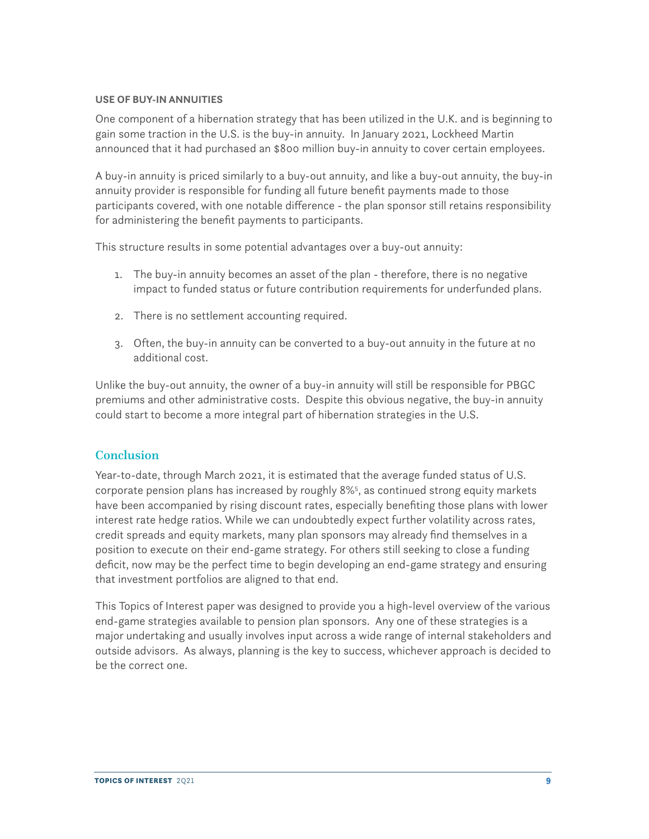#### <span id="page-8-0"></span>**USE OF BUY-IN ANNUITIES**

One component of a hibernation strategy that has been utilized in the U.K. and is beginning to gain some traction in the U.S. is the buy-in annuity. In January 2021, Lockheed Martin announced that it had purchased an \$800 million buy-in annuity to cover certain employees.

A buy-in annuity is priced similarly to a buy-out annuity, and like a buy-out annuity, the buy-in annuity provider is responsible for funding all future benefit payments made to those participants covered, with one notable difference - the plan sponsor still retains responsibility for administering the benefit payments to participants.

This structure results in some potential advantages over a buy-out annuity:

- 1. The buy-in annuity becomes an asset of the plan therefore, there is no negative impact to funded status or future contribution requirements for underfunded plans.
- 2. There is no settlement accounting required.
- 3. Often, the buy-in annuity can be converted to a buy-out annuity in the future at no additional cost.

Unlike the buy-out annuity, the owner of a buy-in annuity will still be responsible for PBGC premiums and other administrative costs. Despite this obvious negative, the buy-in annuity could start to become a more integral part of hibernation strategies in the U.S.

## **Conclusion**

Year-to-date, through March 2021, it is estimated that the average funded status of U.S. corporate pension plans has increased by roughly 8%[5](#page-9-0) , as continued strong equity markets have been accompanied by rising discount rates, especially benefiting those plans with lower interest rate hedge ratios. While we can undoubtedly expect further volatility across rates, credit spreads and equity markets, many plan sponsors may already find themselves in a position to execute on their end-game strategy. For others still seeking to close a funding deficit, now may be the perfect time to begin developing an end-game strategy and ensuring that investment portfolios are aligned to that end.

This Topics of Interest paper was designed to provide you a high-level overview of the various end-game strategies available to pension plan sponsors. Any one of these strategies is a major undertaking and usually involves input across a wide range of internal stakeholders and outside advisors. As always, planning is the key to success, whichever approach is decided to be the correct one.